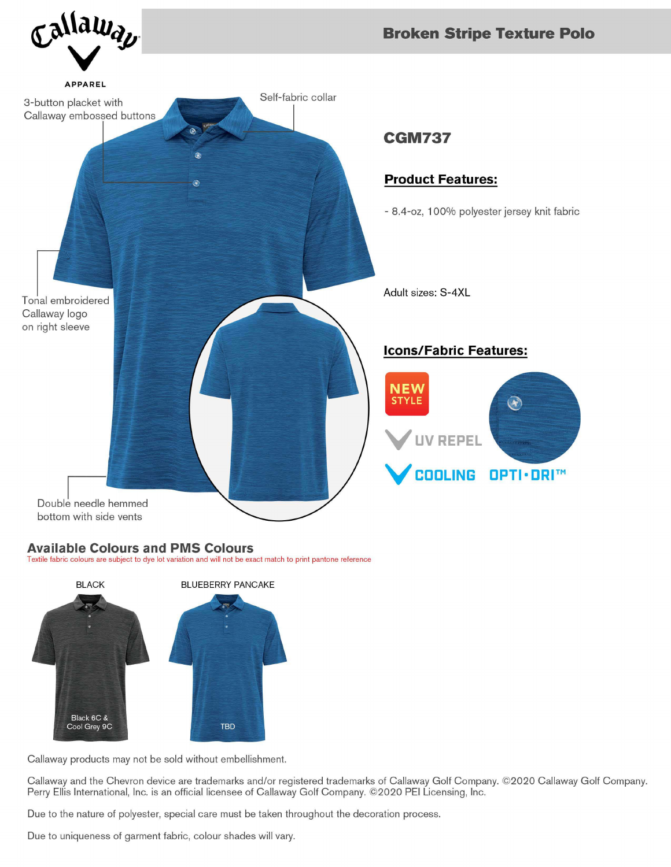

## **Available Colours and PMS Colours**

Textile fabric colours are subject to dye lot variation and will not be exact match to print pantone reference



Callaway products may not be sold without embellishment.

Callaway and the Chevron device are trademarks and/or registered trademarks of Callaway Golf Company. ©2020 Callaway Golf Company. Perry Ellis International, Inc. is an official licensee of Callaway Golf Company. ©2020 PEI Licensing, Inc.

Due to the nature of polyester, special care must be taken throughout the decoration process.

Due to uniqueness of garment fabric, colour shades will vary.